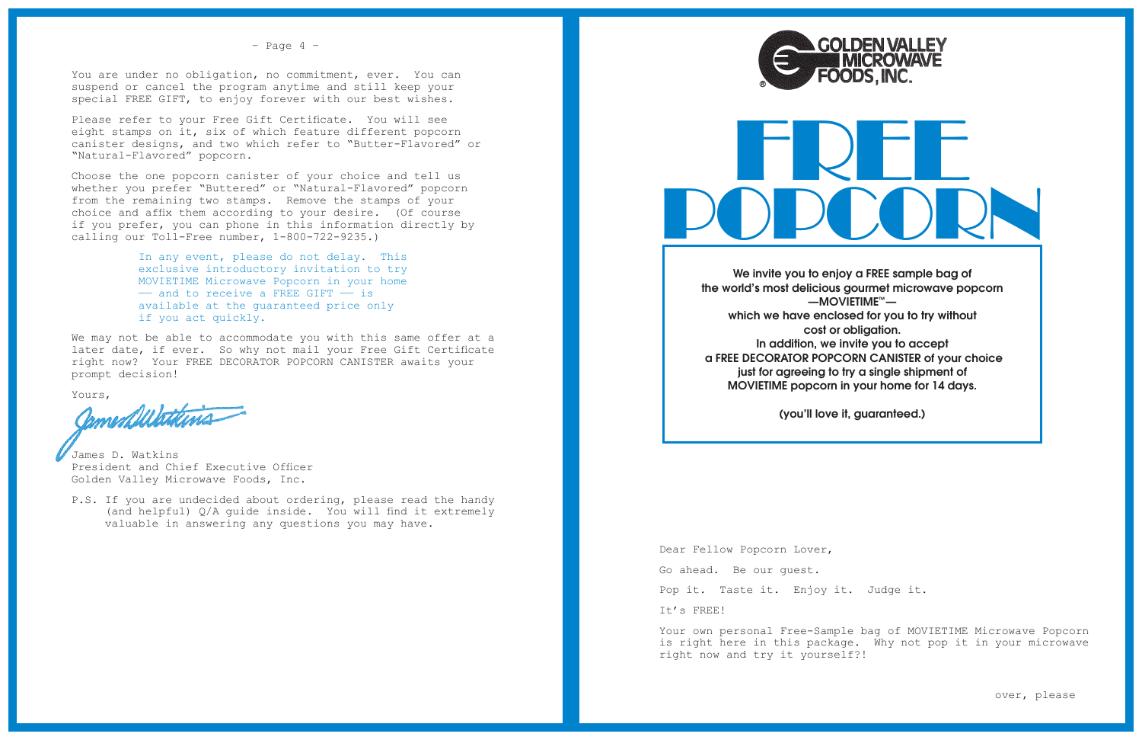

We invite you to enjoy a FREE sample bag of the world's most delicious gourmet microwave popcorn —MOVIETIME™ which we have enclosed for you to try without cost or obligation. In addition, we invite you to accept a FREE DECORATOR POPCORN CANISTER of your choice just for agreeing to try a single shipment of MOVIETIME popcorn in your home for 14 days.

(you'll love it, guaranteed.)

Dear Fellow Popcorn Lover, Go ahead. Be our guest. Pop it. Taste it. Enjoy it. Judge it. It's FREE!

Your own personal Free-Sample bag of MOVIETIME Microwave Popcorn is right here in this package. Why not pop it in your microwave right now and try it yourself?!

## **GOLDEN VALLEY**

 $-$  Page 4  $-$ 

You are under no obligation, no commitment, ever. You can suspend or cancel the program anytime and still keep your special FREE GIFT, to enjoy forever with our best wishes.

Please refer to your Free Gift Certificate. You will see eight stamps on it, six of which feature different popcorn canister designs, and two which refer to "Butter-Flavored" or "Natural-Flavored" popcorn.

Choose the one popcorn canister of your choice and tell us whether you prefer "Buttered" or "Natural-Flavored" popcorn from the remaining two stamps. Remove the stamps of your choice and affix them according to your desire. (Of course if you prefer, you can phone in this information directly by calling our Toll-Free number, 1-800-722-9235.)

> In any event, please do not delay. This exclusive introductory invitation to try MOVIETIME Microwave Popcorn in your home —— and to receive a FREE GIFT —— is available at the guaranteed price only if you act quickly.

We may not be able to accommodate you with this same offer at a later date, if ever. So why not mail your Free Gift Certificate right now? Your FREE DECORATOR POPCORN CANISTER awaits your prompt decision!

Yours,

amendulations

James D. Watkins President and Chief Executive Officer Golden Valley Microwave Foods, Inc.

P.S. If you are undecided about ordering, please read the handy (and helpful) Q/A guide inside. You will find it extremely valuable in answering any questions you may have.